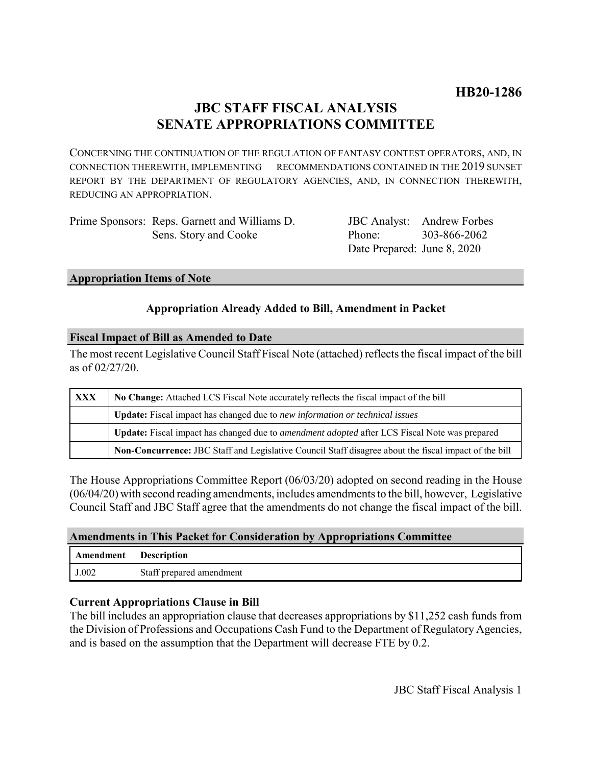# **JBC STAFF FISCAL ANALYSIS SENATE APPROPRIATIONS COMMITTEE**

CONCERNING THE CONTINUATION OF THE REGULATION OF FANTASY CONTEST OPERATORS, AND, IN CONNECTION THEREWITH, IMPLEMENTING RECOMMENDATIONS CONTAINED IN THE 2019 SUNSET REPORT BY THE DEPARTMENT OF REGULATORY AGENCIES, AND, IN CONNECTION THEREWITH, REDUCING AN APPROPRIATION.

| Prime Sponsors: Reps. Garnett and Williams D. |
|-----------------------------------------------|
| Sens. Story and Cooke                         |

JBC Analyst: Andrew Forbes Phone: Date Prepared: June 8, 2020 303-866-2062

#### **Appropriation Items of Note**

### **Appropriation Already Added to Bill, Amendment in Packet**

#### **Fiscal Impact of Bill as Amended to Date**

The most recent Legislative Council Staff Fiscal Note (attached) reflects the fiscal impact of the bill as of 02/27/20.

| <b>XXX</b> | No Change: Attached LCS Fiscal Note accurately reflects the fiscal impact of the bill                 |  |
|------------|-------------------------------------------------------------------------------------------------------|--|
|            | Update: Fiscal impact has changed due to new information or technical issues                          |  |
|            | Update: Fiscal impact has changed due to <i>amendment adopted</i> after LCS Fiscal Note was prepared  |  |
|            | Non-Concurrence: JBC Staff and Legislative Council Staff disagree about the fiscal impact of the bill |  |

The House Appropriations Committee Report (06/03/20) adopted on second reading in the House (06/04/20) with second reading amendments, includes amendments to the bill, however, Legislative Council Staff and JBC Staff agree that the amendments do not change the fiscal impact of the bill.

#### **Amendments in This Packet for Consideration by Appropriations Committee**

| Amendment | <b>Description</b>       |
|-----------|--------------------------|
| J.002     | Staff prepared amendment |

#### **Current Appropriations Clause in Bill**

The bill includes an appropriation clause that decreases appropriations by \$11,252 cash funds from the Division of Professions and Occupations Cash Fund to the Department of Regulatory Agencies, and is based on the assumption that the Department will decrease FTE by 0.2.